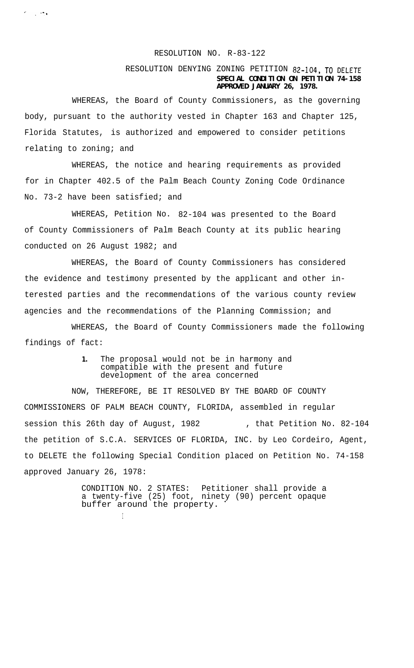## RESOLUTION NO. R-83-122

## RESOLUTION DENYING ZONING PETITION 82-104, TO DELETE **SPECIAL CONDITION ON PETITION 74-158 APPROVED JANUARY 26, 1978.**

WHEREAS, the Board of County Commissioners, as the governing body, pursuant to the authority vested in Chapter 163 and Chapter 125, Florida Statutes, is authorized and empowered to consider petitions relating to zoning; and

 $\sigma_{\rm{max}}$  and  $\sigma_{\rm{max}}$ 

WHEREAS, the notice and hearing requirements as provided for in Chapter 402.5 of the Palm Beach County Zoning Code Ordinance No. 73-2 have been satisfied; and

WHEREAS, Petition No. 82-104 was presented to the Board of County Commissioners of Palm Beach County at its public hearing conducted on 26 August 1982; and

WHEREAS, the Board of County Commissioners has considered the evidence and testimony presented by the applicant and other interested parties and the recommendations of the various county review agencies and the recommendations of the Planning Commission; and

WHEREAS, the Board of County Commissioners made the following findings of fact:

> **1.** The proposal would not be in harmony and compatible with the present and future development of the area concerned

NOW, THEREFORE, BE IT RESOLVED BY THE BOARD OF COUNTY COMMISSIONERS OF PALM BEACH COUNTY, FLORIDA, assembled in regular session this 26th day of August, 1982 , that Petition No. 82-104 the petition of S.C.A. SERVICES OF FLORIDA, INC. by Leo Cordeiro, Agent, to DELETE the following Special Condition placed on Petition No. 74-158 approved January 26, 1978:

> CONDITION NO. 2 STATES: Petitioner shall provide a a twenty-five (25) foot, ninety (90) percent opaque buffer around the property.

> > I